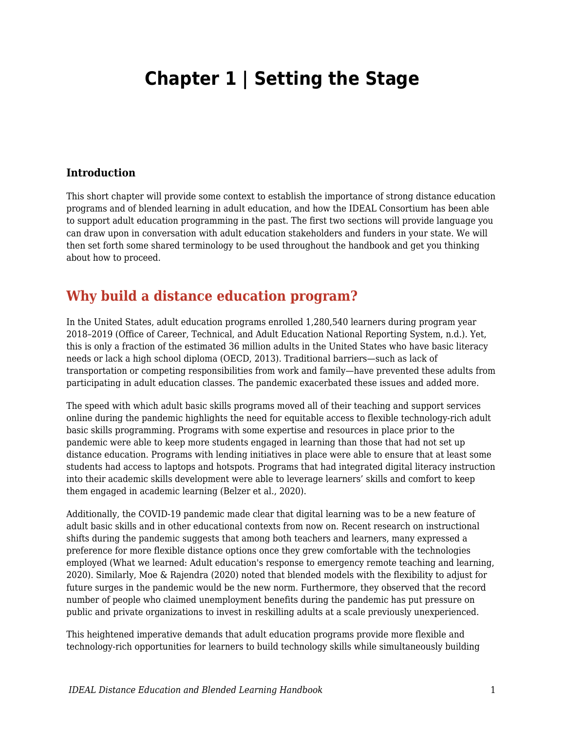# **Chapter 1 | Setting the Stage**

#### **Introduction**

This short chapter will provide some context to establish the importance of strong distance education programs and of blended learning in adult education, and how the IDEAL Consortium has been able to support adult education programming in the past. The first two sections will provide language you can draw upon in conversation with adult education stakeholders and funders in your state. We will then set forth some shared terminology to be used throughout the handbook and get you thinking about how to proceed.

## **Why build a distance education program?**

In the United States, adult education programs enrolled 1,280,540 learners during program year 2018–2019 (Office of Career, Technical, and Adult Education National Reporting System, n.d.). Yet, this is only a fraction of the estimated 36 million adults in the United States who have basic literacy needs or lack a high school diploma (OECD, 2013). Traditional barriers—such as lack of transportation or competing responsibilities from work and family—have prevented these adults from participating in adult education classes. The pandemic exacerbated these issues and added more.

The speed with which adult basic skills programs moved all of their teaching and support services online during the pandemic highlights the need for equitable access to flexible technology-rich adult basic skills programming. Programs with some expertise and resources in place prior to the pandemic were able to keep more students engaged in learning than those that had not set up distance education. Programs with lending initiatives in place were able to ensure that at least some students had access to laptops and hotspots. Programs that had integrated digital literacy instruction into their academic skills development were able to leverage learners' skills and comfort to keep them engaged in academic learning (Belzer et al., 2020).

Additionally, the COVID-19 pandemic made clear that digital learning was to be a new feature of adult basic skills and in other educational contexts from now on. Recent research on instructional shifts during the pandemic suggests that among both teachers and learners, many expressed a preference for more flexible distance options once they grew comfortable with the technologies employed (What we learned: Adult education's response to emergency remote teaching and learning, 2020). Similarly, Moe & Rajendra (2020) noted that blended models with the flexibility to adjust for future surges in the pandemic would be the new norm. Furthermore, they observed that the record number of people who claimed unemployment benefits during the pandemic has put pressure on public and private organizations to invest in reskilling adults at a scale previously unexperienced.

This heightened imperative demands that adult education programs provide more flexible and technology-rich opportunities for learners to build technology skills while simultaneously building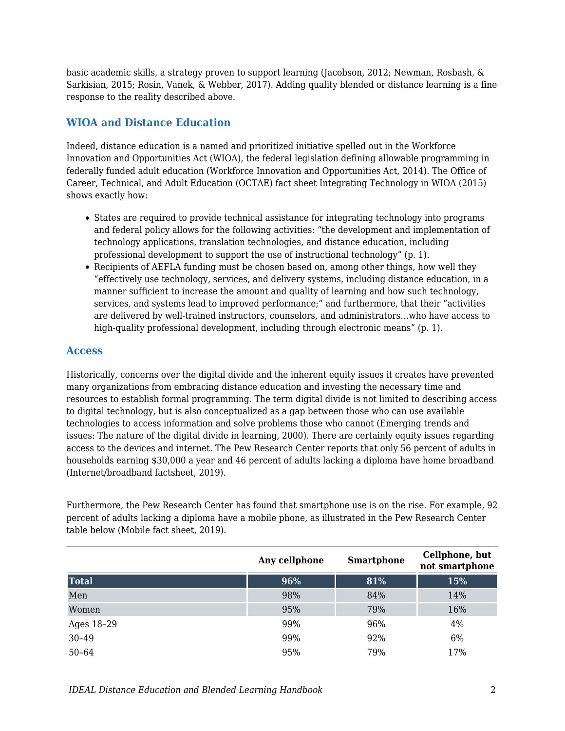basic academic skills, a strategy proven to support learning (Jacobson, 2012; Newman, Rosbash, & Sarkisian, 2015; Rosin, Vanek, & Webber, 2017). Adding quality blended or distance learning is a fine response to the reality described above.

### **WIOA and Distance Education**

Indeed, distance education is a named and prioritized initiative spelled out in the Workforce Innovation and Opportunities Act (WIOA), the federal legislation defining allowable programming in federally funded adult education (Workforce Innovation and Opportunities Act, 2014). The Office of Career, Technical, and Adult Education (OCTAE) fact sheet Integrating Technology in WIOA (2015) shows exactly how:

- States are required to provide technical assistance for integrating technology into programs and federal policy allows for the following activities: "the development and implementation of technology applications, translation technologies, and distance education, including professional development to support the use of instructional technology" (p. 1).
- Recipients of AEFLA funding must be chosen based on, among other things, how well they "effectively use technology, services, and delivery systems, including distance education, in a manner sufficient to increase the amount and quality of learning and how such technology, services, and systems lead to improved performance;" and furthermore, that their "activities are delivered by well-trained instructors, counselors, and administrators…who have access to high-quality professional development, including through electronic means" (p. 1).

### **Access**

Historically, concerns over the digital divide and the inherent equity issues it creates have prevented many organizations from embracing distance education and investing the necessary time and resources to establish formal programming. The term digital divide is not limited to describing access to digital technology, but is also conceptualized as a gap between those who can use available technologies to access information and solve problems those who cannot (Emerging trends and issues: The nature of the digital divide in learning, 2000). There are certainly equity issues regarding access to the devices and internet. The Pew Research Center reports that only 56 percent of adults in households earning \$30,000 a year and 46 percent of adults lacking a diploma have home broadband (Internet/broadband factsheet, 2019).

Furthermore, the Pew Research Center has found that smartphone use is on the rise. For example, 92 percent of adults lacking a diploma have a mobile phone, as illustrated in the Pew Research Center table below (Mobile fact sheet, 2019).

|              | Any cellphone | <b>Smartphone</b> | Cellphone, but<br>not smartphone |
|--------------|---------------|-------------------|----------------------------------|
| <b>Total</b> | 96%           | 81%               | 15%                              |
| Men          | 98%           | 84%               | 14%                              |
| Women        | 95%           | 79%               | 16%                              |
| Ages 18-29   | 99%           | 96%               | 4%                               |
| 30-49        | 99%           | 92%               | 6%                               |
| $50 - 64$    | 95%           | 79%               | 17%                              |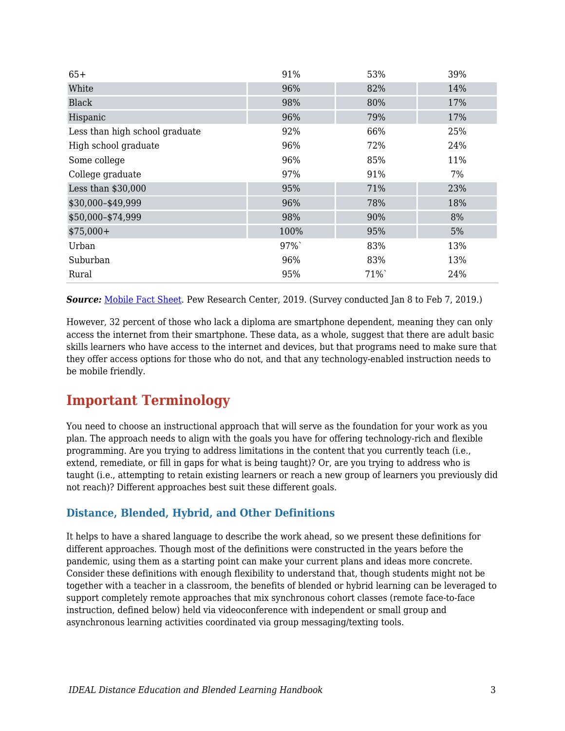| $65+$                          | 91%  | 53% | 39% |
|--------------------------------|------|-----|-----|
| White                          | 96%  | 82% | 14% |
| <b>Black</b>                   | 98%  | 80% | 17% |
| Hispanic                       | 96%  | 79% | 17% |
| Less than high school graduate | 92%  | 66% | 25% |
| High school graduate           | 96%  | 72% | 24% |
| Some college                   | 96%  | 85% | 11% |
| College graduate               | 97%  | 91% | 7%  |
| Less than \$30,000             | 95%  | 71% | 23% |
| \$30,000-\$49,999              | 96%  | 78% | 18% |
| \$50,000-\$74,999              | 98%  | 90% | 8%  |
| $$75,000+$                     | 100% | 95% | 5%  |
| Urban                          | 97%  | 83% | 13% |
| Suburban                       | 96%  | 83% | 13% |
| Rural                          | 95%  | 71% | 24% |

*Source:* [Mobile Fact Sheet.](https://www.pewresearch.org/internet/fact-sheet/mobile/) Pew Research Center, 2019. (Survey conducted Jan 8 to Feb 7, 2019.)

However, 32 percent of those who lack a diploma are smartphone dependent, meaning they can only access the internet from their smartphone. These data, as a whole, suggest that there are adult basic skills learners who have access to the internet and devices, but that programs need to make sure that they offer access options for those who do not, and that any technology-enabled instruction needs to be mobile friendly.

## **Important Terminology**

You need to choose an instructional approach that will serve as the foundation for your work as you plan. The approach needs to align with the goals you have for offering technology-rich and flexible programming. Are you trying to address limitations in the content that you currently teach (i.e., extend, remediate, or fill in gaps for what is being taught)? Or, are you trying to address who is taught (i.e., attempting to retain existing learners or reach a new group of learners you previously did not reach)? Different approaches best suit these different goals.

### **Distance, Blended, Hybrid, and Other Definitions**

It helps to have a shared language to describe the work ahead, so we present these definitions for different approaches. Though most of the definitions were constructed in the years before the pandemic, using them as a starting point can make your current plans and ideas more concrete. Consider these definitions with enough flexibility to understand that, though students might not be together with a teacher in a classroom, the benefits of blended or hybrid learning can be leveraged to support completely remote approaches that mix synchronous cohort classes (remote face-to-face instruction, defined below) held via videoconference with independent or small group and asynchronous learning activities coordinated via group messaging/texting tools.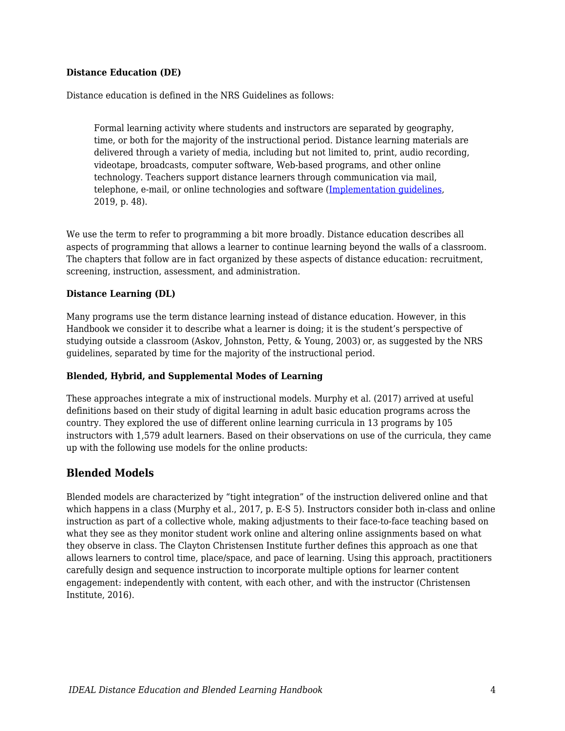#### **Distance Education (DE)**

Distance education is defined in the NRS Guidelines as follows:

Formal learning activity where students and instructors are separated by geography, time, or both for the majority of the instructional period. Distance learning materials are delivered through a variety of media, including but not limited to, print, audio recording, videotape, broadcasts, computer software, Web-based programs, and other online technology. Teachers support distance learners through communication via mail, telephone, e-mail, or online technologies and software ([Implementation guidelines,](https://nrsweb.org/sites/default/files/NRS-TA-Aug2019-508.pdf) 2019, p. 48).

We use the term to refer to programming a bit more broadly. Distance education describes all aspects of programming that allows a learner to continue learning beyond the walls of a classroom. The chapters that follow are in fact organized by these aspects of distance education: recruitment, screening, instruction, assessment, and administration.

#### **Distance Learning (DL)**

Many programs use the term distance learning instead of distance education. However, in this Handbook we consider it to describe what a learner is doing; it is the student's perspective of studying outside a classroom (Askov, Johnston, Petty, & Young, 2003) or, as suggested by the NRS guidelines, separated by time for the majority of the instructional period.

#### **Blended, Hybrid, and Supplemental Modes of Learning**

These approaches integrate a mix of instructional models. Murphy et al. (2017) arrived at useful definitions based on their study of digital learning in adult basic education programs across the country. They explored the use of different online learning curricula in 13 programs by 105 instructors with 1,579 adult learners. Based on their observations on use of the curricula, they came up with the following use models for the online products:

#### **Blended Models**

Blended models are characterized by "tight integration" of the instruction delivered online and that which happens in a class (Murphy et al., 2017, p. E-S 5). Instructors consider both in-class and online instruction as part of a collective whole, making adjustments to their face-to-face teaching based on what they see as they monitor student work online and altering online assignments based on what they observe in class. The Clayton Christensen Institute further defines this approach as one that allows learners to control time, place/space, and pace of learning. Using this approach, practitioners carefully design and sequence instruction to incorporate multiple options for learner content engagement: independently with content, with each other, and with the instructor (Christensen Institute, 2016).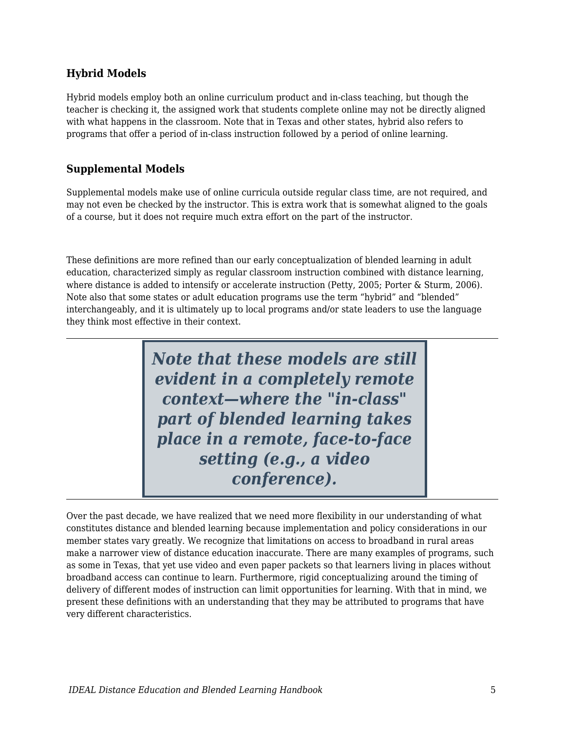## **Hybrid Models**

Hybrid models employ both an online curriculum product and in-class teaching, but though the teacher is checking it, the assigned work that students complete online may not be directly aligned with what happens in the classroom. Note that in Texas and other states, hybrid also refers to programs that offer a period of in-class instruction followed by a period of online learning.

## **Supplemental Models**

Supplemental models make use of online curricula outside regular class time, are not required, and may not even be checked by the instructor. This is extra work that is somewhat aligned to the goals of a course, but it does not require much extra effort on the part of the instructor.

These definitions are more refined than our early conceptualization of blended learning in adult education, characterized simply as regular classroom instruction combined with distance learning, where distance is added to intensify or accelerate instruction (Petty, 2005; Porter & Sturm, 2006). Note also that some states or adult education programs use the term "hybrid" and "blended" interchangeably, and it is ultimately up to local programs and/or state leaders to use the language they think most effective in their context.

> *Note that these models are still evident in a completely remote context—where the "in-class" part of blended learning takes place in a remote, face-to-face setting (e.g., a video conference).*

Over the past decade, we have realized that we need more flexibility in our understanding of what constitutes distance and blended learning because implementation and policy considerations in our member states vary greatly. We recognize that limitations on access to broadband in rural areas make a narrower view of distance education inaccurate. There are many examples of programs, such as some in Texas, that yet use video and even paper packets so that learners living in places without broadband access can continue to learn. Furthermore, rigid conceptualizing around the timing of delivery of different modes of instruction can limit opportunities for learning. With that in mind, we present these definitions with an understanding that they may be attributed to programs that have very different characteristics.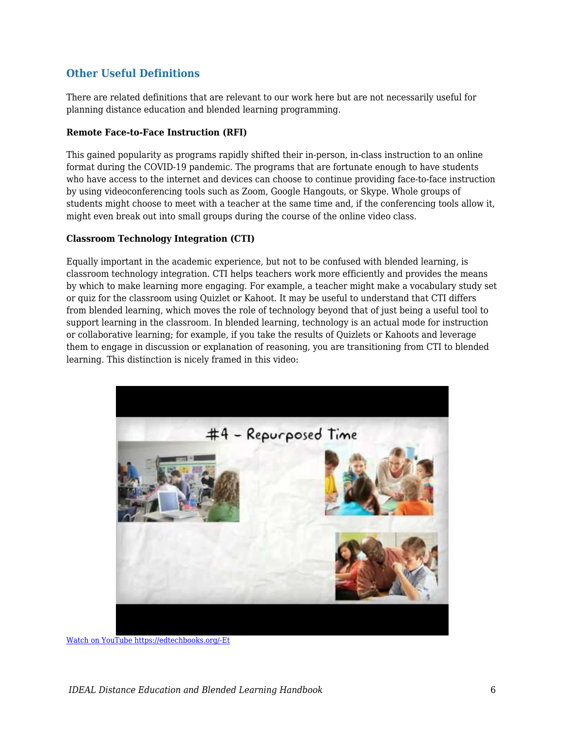### **Other Useful Definitions**

There are related definitions that are relevant to our work here but are not necessarily useful for planning distance education and blended learning programming.

#### **Remote Face-to-Face Instruction (RFI)**

This gained popularity as programs rapidly shifted their in-person, in-class instruction to an online format during the COVID-19 pandemic. The programs that are fortunate enough to have students who have access to the internet and devices can choose to continue providing face-to-face instruction by using videoconferencing tools such as Zoom, Google Hangouts, or Skype. Whole groups of students might choose to meet with a teacher at the same time and, if the conferencing tools allow it, might even break out into small groups during the course of the online video class.

#### **Classroom Technology Integration (CTI)**

Equally important in the academic experience, but not to be confused with blended learning, is classroom technology integration. CTI helps teachers work more efficiently and provides the means by which to make learning more engaging. For example, a teacher might make a vocabulary study set or quiz for the classroom using Quizlet or Kahoot. It may be useful to understand that CTI differs from blended learning, which moves the role of technology beyond that of just being a useful tool to support learning in the classroom. In blended learning, technology is an actual mode for instruction or collaborative learning; for example, if you take the results of Quizlets or Kahoots and leverage them to engage in discussion or explanation of reasoning, you are transitioning from CTI to blended learning. This distinction is nicely framed in this video:



[Watch on YouTube https://edtechbooks.org/-Et](https://www.youtube.com/embed/KD8AUfGsCKg?autoplay=1&rel=0&showinfo=0&modestbranding=1)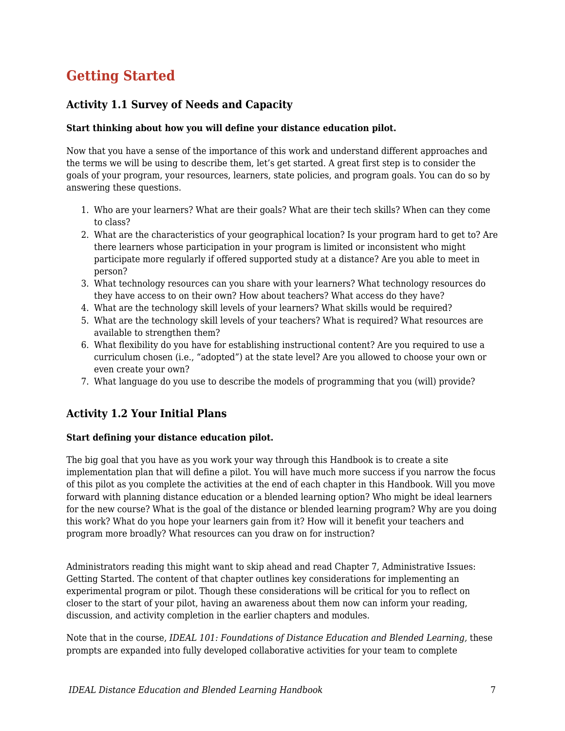## **Getting Started**

## **Activity 1.1 Survey of Needs and Capacity**

#### **Start thinking about how you will define your distance education pilot.**

Now that you have a sense of the importance of this work and understand different approaches and the terms we will be using to describe them, let's get started. A great first step is to consider the goals of your program, your resources, learners, state policies, and program goals. You can do so by answering these questions.

- 1. Who are your learners? What are their goals? What are their tech skills? When can they come to class?
- 2. What are the characteristics of your geographical location? Is your program hard to get to? Are there learners whose participation in your program is limited or inconsistent who might participate more regularly if offered supported study at a distance? Are you able to meet in person?
- 3. What technology resources can you share with your learners? What technology resources do they have access to on their own? How about teachers? What access do they have?
- 4. What are the technology skill levels of your learners? What skills would be required?
- 5. What are the technology skill levels of your teachers? What is required? What resources are available to strengthen them?
- 6. What flexibility do you have for establishing instructional content? Are you required to use a curriculum chosen (i.e., "adopted") at the state level? Are you allowed to choose your own or even create your own?
- 7. What language do you use to describe the models of programming that you (will) provide?

## **Activity 1.2 Your Initial Plans**

### **Start defining your distance education pilot.**

The big goal that you have as you work your way through this Handbook is to create a site implementation plan that will define a pilot. You will have much more success if you narrow the focus of this pilot as you complete the activities at the end of each chapter in this Handbook. Will you move forward with planning distance education or a blended learning option? Who might be ideal learners for the new course? What is the goal of the distance or blended learning program? Why are you doing this work? What do you hope your learners gain from it? How will it benefit your teachers and program more broadly? What resources can you draw on for instruction?

Administrators reading this might want to skip ahead and read Chapter 7, Administrative Issues: Getting Started. The content of that chapter outlines key considerations for implementing an experimental program or pilot. Though these considerations will be critical for you to reflect on closer to the start of your pilot, having an awareness about them now can inform your reading, discussion, and activity completion in the earlier chapters and modules.

Note that in the course, *IDEAL 101: Foundations of Distance Education and Blended Learning,* these prompts are expanded into fully developed collaborative activities for your team to complete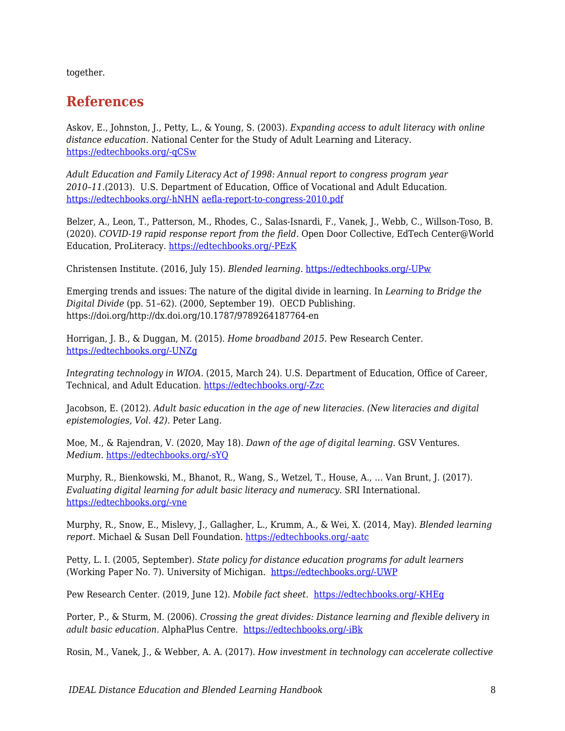together.

## **References**

Askov, E., Johnston, J., Petty, L., & Young, S. (2003). *Expanding access to adult literacy with online distance education*. National Center for the Study of Adult Learning and Literacy. [https://edtechbooks.org/-qCSw](http://www.ncsall.net/fileadmin/resources/research/op_askov.pdf)

*Adult Education and Family Literacy Act of 1998: Annual report to congress program year 2010–11*.(2013). U.S. Department of Education, Office of Vocational and Adult Education. [https://edtechbooks.org/-hNHN](http://www2.ed.gov/about/offices/list/ovae/resource/aefla-report-to-congress-2010.pdf) [aefla-report-to-congress-2010.pdf](http://www2.ed.gov/about/offices/list/ovae/resource/aefla-report-to-congress-2010.pdf)

Belzer, A., Leon, T., Patterson, M., Rhodes, C., Salas-Isnardi, F., Vanek, J., Webb, C., Willson-Toso, B. (2020). *COVID-19 rapid response report from the field*. Open Door Collective, EdTech Center@World Education, ProLiteracy. [https://edtechbooks.org/-PEzK](https://www.literacynewyork.org/documents/Covid-19/COVID-19-Report.pdf)

Christensen Institute. (2016, July 15). *Blended learning.* [https://edtechbooks.org/-UPw](https://www.christenseninstitute.org/blended-learning/)

Emerging trends and issues: The nature of the digital divide in learning. In *Learning to Bridge the Digital Divide* (pp. 51–62). (2000, September 19). OECD Publishing. https://doi.org/http://dx.doi.org/10.1787/9789264187764-en

Horrigan, J. B., & Duggan, M. (2015). *Home broadband 2015*. Pew Research Center. [https://edtechbooks.org/-UNZg](https://www.pewresearch.org/internet/2015/12/21/home-broadband-2015/)

*Integrating technology in WIOA*. (2015, March 24). U.S. Department of Education, Office of Career, Technical, and Adult Education. [https://edtechbooks.org/-Zzc](https://www2.ed.gov/about/offices/list/ovae/pi/AdultEd/integrating-technology.pdf)

Jacobson, E. (2012). *Adult basic education in the age of new literacies. (New literacies and digital epistemologies, Vol. 42).* Peter Lang.

Moe, M., & Rajendran, V. (2020, May 18). *Dawn of the age of digital learning*. GSV Ventures. *Medium*. [https://edtechbooks.org/-sYQ](https://medium.com/gsv-ventures/dawn-of-the-age-of-digital-learning-4c4e38784226)

Murphy, R., Bienkowski, M., Bhanot, R., Wang, S., Wetzel, T., House, A., … Van Brunt, J. (2017). *Evaluating digital learning for adult basic literacy and numeracy*. SRI International. [https://edtechbooks.org/-vne](https://www.sri.com/publication/evaluating-digital-learning-for-adult-basic-literacy-and-numeracy/)

Murphy, R., Snow, E., Mislevy, J., Gallagher, L., Krumm, A., & Wei, X. (2014, May). *Blended learning report*. Michael & Susan Dell Foundation. [https://edtechbooks.org/-aatc](https://www.msdf.org/whitepapers/blended-learning-report/)

Petty, L. I. (2005, September). *State policy for distance education programs for adult learners* (Working Paper No. 7). University of Michigan. [https://edtechbooks.org/-UWP](https://edtech.worlded.org/wp-content/uploads/2017/07/WP7StatePolicyForDistEd2005.pdf)

Pew Research Center. (2019, June 12). *Mobile fact sheet*. [https://edtechbooks.org/-KHEg](https://www.pewinternet.org/fact-sheet/mobile/)

Porter, P., & Sturm, M. (2006). *Crossing the great divides: Distance learning and flexible delivery in adult basic education*. AlphaPlus Centre. [https://edtechbooks.org/-iBk](http://en.copian.ca/library/research/divides/divides.pdf)

Rosin, M., Vanek, J., & Webber, A. A. (2017). *How investment in technology can accelerate collective*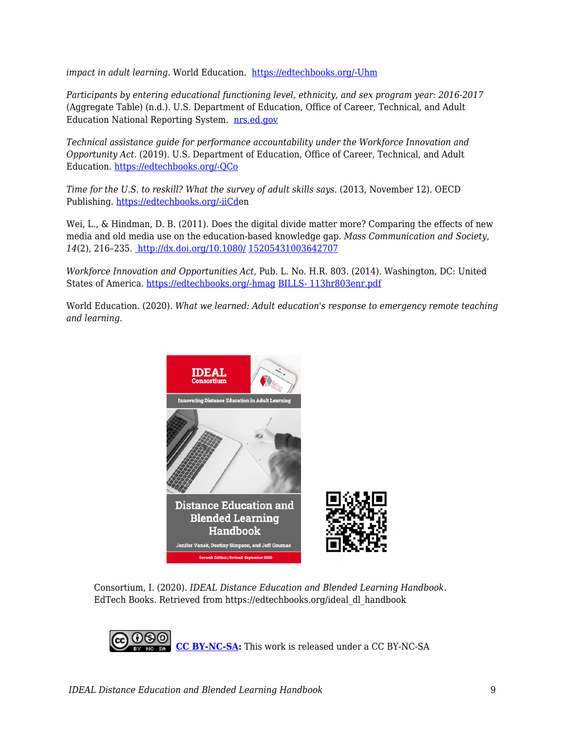*impact in adult learning*. World Education. [https://edtechbooks.org/-Uhm](https://edtech.worlded.org/wp-content/uploads/2017/12/Investment-in-Tech-Nov-30-FINAL.pdf)

*Participants by entering educational functioning level, ethnicity, and sex program year: 2016-2017* (Aggregate Table) (n.d.). U.S. Department of Education, Office of Career, Technical, and Adult Education National Reporting System. [nrs.ed.gov](http://nrs.ed.gov)

*Technical assistance guide for performance accountability under the Workforce Innovation and Opportunity Act*. (2019). U.S. Department of Education, Office of Career, Technical, and Adult Education. [https://edtechbooks.org/-QCo](https://nrsweb.org/sites/default/files/NRS-TA-Aug2019-508.pdf)

*Time for the U.S. to reskill? What the survey of adult skills says.* (2013, November 12). OECD Publishing. [https://edtechbooks.org/-iiCde](http://www.oecd-ilibrary.org/education/time-for-the-u-s-to-reskill_9789264204904-en)n

Wei, L., & Hindman, D. B. (2011). Does the digital divide matter more? Comparing the effects of new media and old media use on the education-based knowledge gap. *Mass Communication and Society*, *14*(2), 216–235. [http://dx.doi.org/10.1080/](http://dx.doi.org/10.1080/15205431003642707) [15205431003642707](http://dx.doi.org/10.1080/15205431003642707)

*Workforce Innovation and Opportunities Act*, Pub. L. No. H.R. 803. (2014). Washington, DC: United States of America. [https://edtechbooks.org/-hmag](https://www.congress.gov/113/bills/hr803/BILLS-113hr803enr.pdf) [BILLS- 113hr803enr.pdf](https://www.congress.gov/113/bills/hr803/BILLS-113hr803enr.pdf)

World Education. (2020). *What we learned: Adult education's response to emergency remote teaching and learning*.



Consortium, I. (2020). *IDEAL Distance Education and Blended Learning Handbook*. EdTech Books. Retrieved from https://edtechbooks.org/ideal\_dl\_handbook

**[CC BY-NC-SA:](https://creativecommons.org/licenses/by-nc-sa/4.0)** This work is released under a CC BY-NC-SA